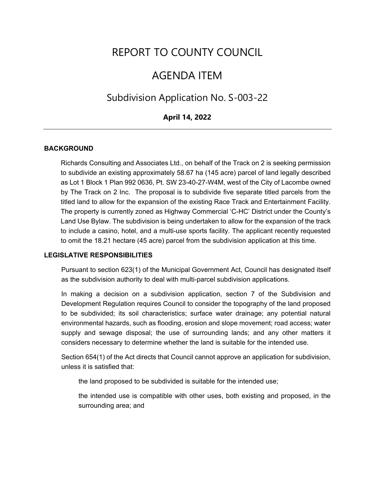# REPORT TO COUNTY COUNCIL

## AGENDA ITEM

## Subdivision Application No. S-003-22

### **April 14, 2022**

#### **BACKGROUND**

Richards Consulting and Associates Ltd., on behalf of the Track on 2 is seeking permission to subdivide an existing approximately 58.67 ha (145 acre) parcel of land legally described as Lot 1 Block 1 Plan 992 0636, Pt. SW 23-40-27-W4M, west of the City of Lacombe owned by The Track on 2 Inc. The proposal is to subdivide five separate titled parcels from the titled land to allow for the expansion of the existing Race Track and Entertainment Facility. The property is currently zoned as Highway Commercial 'C-HC' District under the County's Land Use Bylaw. The subdivision is being undertaken to allow for the expansion of the track to include a casino, hotel, and a multi-use sports facility. The applicant recently requested to omit the 18.21 hectare (45 acre) parcel from the subdivision application at this time.

#### **LEGISLATIVE RESPONSIBILITIES**

Pursuant to section 623(1) of the Municipal Government Act, Council has designated itself as the subdivision authority to deal with multi-parcel subdivision applications.

In making a decision on a subdivision application, section 7 of the Subdivision and Development Regulation requires Council to consider the topography of the land proposed to be subdivided; its soil characteristics; surface water drainage; any potential natural environmental hazards, such as flooding, erosion and slope movement; road access; water supply and sewage disposal; the use of surrounding lands; and any other matters it considers necessary to determine whether the land is suitable for the intended use.

Section 654(1) of the Act directs that Council cannot approve an application for subdivision, unless it is satisfied that:

the land proposed to be subdivided is suitable for the intended use;

the intended use is compatible with other uses, both existing and proposed, in the surrounding area; and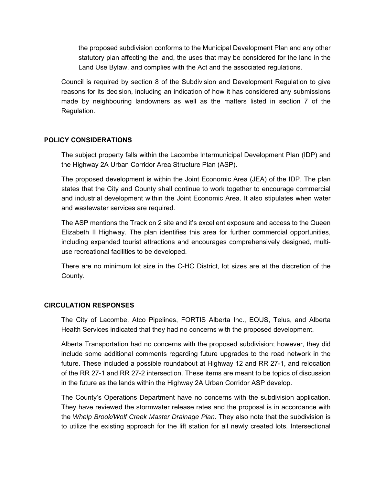the proposed subdivision conforms to the Municipal Development Plan and any other statutory plan affecting the land, the uses that may be considered for the land in the Land Use Bylaw, and complies with the Act and the associated regulations.

Council is required by section 8 of the Subdivision and Development Regulation to give reasons for its decision, including an indication of how it has considered any submissions made by neighbouring landowners as well as the matters listed in section 7 of the Regulation.

#### **POLICY CONSIDERATIONS**

The subject property falls within the Lacombe Intermunicipal Development Plan (IDP) and the Highway 2A Urban Corridor Area Structure Plan (ASP).

The proposed development is within the Joint Economic Area (JEA) of the IDP. The plan states that the City and County shall continue to work together to encourage commercial and industrial development within the Joint Economic Area. It also stipulates when water and wastewater services are required.

The ASP mentions the Track on 2 site and it's excellent exposure and access to the Queen Elizabeth II Highway. The plan identifies this area for further commercial opportunities, including expanded tourist attractions and encourages comprehensively designed, multiuse recreational facilities to be developed.

There are no minimum lot size in the C-HC District, lot sizes are at the discretion of the County.

#### **CIRCULATION RESPONSES**

The City of Lacombe, Atco Pipelines, FORTIS Alberta Inc., EQUS, Telus, and Alberta Health Services indicated that they had no concerns with the proposed development.

Alberta Transportation had no concerns with the proposed subdivision; however, they did include some additional comments regarding future upgrades to the road network in the future. These included a possible roundabout at Highway 12 and RR 27-1, and relocation of the RR 27-1 and RR 27-2 intersection. These items are meant to be topics of discussion in the future as the lands within the Highway 2A Urban Corridor ASP develop.

The County's Operations Department have no concerns with the subdivision application. They have reviewed the stormwater release rates and the proposal is in accordance with the *Whelp Brook/Wolf Creek Master Drainage Plan*. They also note that the subdivision is to utilize the existing approach for the lift station for all newly created lots. Intersectional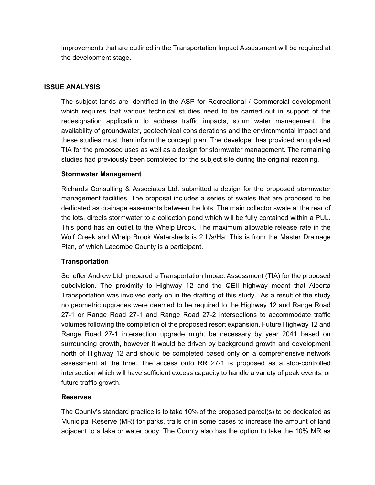improvements that are outlined in the Transportation Impact Assessment will be required at the development stage.

#### **ISSUE ANALYSIS**

The subject lands are identified in the ASP for Recreational / Commercial development which requires that various technical studies need to be carried out in support of the redesignation application to address traffic impacts, storm water management, the availability of groundwater, geotechnical considerations and the environmental impact and these studies must then inform the concept plan. The developer has provided an updated TIA for the proposed uses as well as a design for stormwater management. The remaining studies had previously been completed for the subject site during the original rezoning.

#### **Stormwater Management**

Richards Consulting & Associates Ltd. submitted a design for the proposed stormwater management facilities. The proposal includes a series of swales that are proposed to be dedicated as drainage easements between the lots. The main collector swale at the rear of the lots, directs stormwater to a collection pond which will be fully contained within a PUL. This pond has an outlet to the Whelp Brook. The maximum allowable release rate in the Wolf Creek and Whelp Brook Watersheds is 2 L/s/Ha. This is from the Master Drainage Plan, of which Lacombe County is a participant.

### **Transportation**

Scheffer Andrew Ltd. prepared a Transportation Impact Assessment (TIA) for the proposed subdivision. The proximity to Highway 12 and the QEII highway meant that Alberta Transportation was involved early on in the drafting of this study. As a result of the study no geometric upgrades were deemed to be required to the Highway 12 and Range Road 27-1 or Range Road 27-1 and Range Road 27-2 intersections to accommodate traffic volumes following the completion of the proposed resort expansion. Future Highway 12 and Range Road 27-1 intersection upgrade might be necessary by year 2041 based on surrounding growth, however it would be driven by background growth and development north of Highway 12 and should be completed based only on a comprehensive network assessment at the time. The access onto RR 27-1 is proposed as a stop-controlled intersection which will have sufficient excess capacity to handle a variety of peak events, or future traffic growth.

#### **Reserves**

The County's standard practice is to take 10% of the proposed parcel(s) to be dedicated as Municipal Reserve (MR) for parks, trails or in some cases to increase the amount of land adjacent to a lake or water body. The County also has the option to take the 10% MR as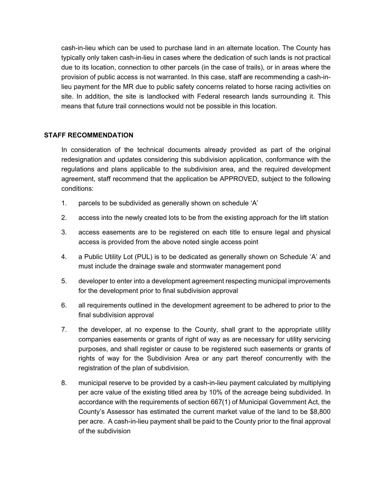cash-in-lieu which can be used to purchase land in an alternate location. The County has typically only taken cash-in-lieu in cases where the dedication of such lands is not practical due to its location, connection to other parcels (in the case of trails), or in areas where the provision of public access is not warranted. In this case, staff are recommending a cash-inlieu payment for the MR due to public safety concerns related to horse racing activities on site. In addition, the site is landlocked with Federal research lands surrounding it. This means that future trail connections would not be possible in this location.

#### **STAFF RECOMMENDATION**

In consideration of the technical documents already provided as part of the original redesignation and updates considering this subdivision application, conformance with the regulations and plans applicable to the subdivision area, and the required development agreement, staff recommend that the application be APPROVED, subject to the following conditions:

- 1. parcels to be subdivided as generally shown on schedule 'A'
- 2. access into the newly created lots to be from the existing approach for the lift station
- 3. access easements are to be registered on each title to ensure legal and physical access is provided from the above noted single access point
- 4. a Public Utility Lot (PUL) is to be dedicated as generally shown on Schedule 'A' and must include the drainage swale and stormwater management pond
- 5. developer to enter into a development agreement respecting municipal improvements for the development prior to final subdivision approval
- 6. all requirements outlined in the development agreement to be adhered to prior to the final subdivision approval
- 7. the developer, at no expense to the County, shall grant to the appropriate utility companies easements or grants of right of way as are necessary for utility servicing purposes, and shall register or cause to be registered such easements or grants of rights of way for the Subdivision Area or any part thereof concurrently with the registration of the plan of subdivision.
- 8. municipal reserve to be provided by a cash-in-lieu payment calculated by multiplying per acre value of the existing titled area by 10% of the acreage being subdivided. In accordance with the requirements of section 667(1) of Municipal Government Act, the County's Assessor has estimated the current market value of the land to be \$8,800 per acre. A cash-in-lieu payment shall be paid to the County prior to the final approval of the subdivision